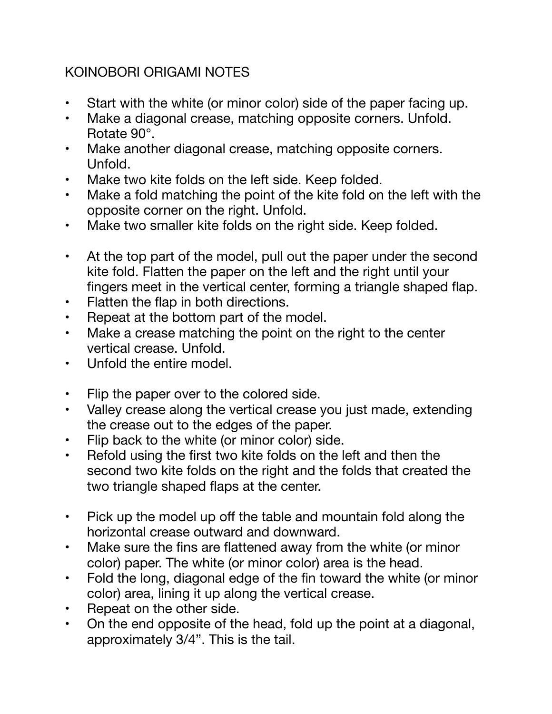## KOINOBORI ORIGAMI NOTES

- Start with the white (or minor color) side of the paper facing up.
- Make a diagonal crease, matching opposite corners. Unfold. Rotate 90°.
- Make another diagonal crease, matching opposite corners. Unfold.
- Make two kite folds on the left side. Keep folded.
- Make a fold matching the point of the kite fold on the left with the opposite corner on the right. Unfold.
- Make two smaller kite folds on the right side. Keep folded.
- At the top part of the model, pull out the paper under the second kite fold. Flatten the paper on the left and the right until your fingers meet in the vertical center, forming a triangle shaped flap.
- Flatten the flap in both directions.
- Repeat at the bottom part of the model.
- Make a crease matching the point on the right to the center vertical crease. Unfold.
- Unfold the entire model.
- Flip the paper over to the colored side.
- Valley crease along the vertical crease you just made, extending the crease out to the edges of the paper.
- Flip back to the white (or minor color) side.
- Refold using the first two kite folds on the left and then the second two kite folds on the right and the folds that created the two triangle shaped flaps at the center.
- Pick up the model up off the table and mountain fold along the horizontal crease outward and downward.
- Make sure the fins are flattened away from the white (or minor color) paper. The white (or minor color) area is the head.
- Fold the long, diagonal edge of the fin toward the white (or minor color) area, lining it up along the vertical crease.
- Repeat on the other side.
- On the end opposite of the head, fold up the point at a diagonal, approximately 3/4". This is the tail.